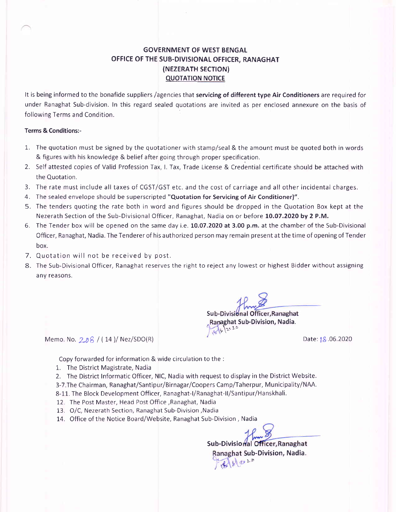## GOVERNMENT OF WEST BENGAL OFFICE OF THE SUB-DIVISIONAL OFFICER, RANAGHAT (NEZERATH SECTION) QUOTATION NOTICE

It is being informed to the bonafide suppliers /agencies that servicing of different type Air Conditioners are required for under Ranaghat Sub-division. In this regard sealed quotations are invited as per enclosed annexure on the basis of following Terms and Condition.

## Terms & Conditions:-

- 1. The quotation must be signed by the quotationer with stamp/seal & the amount must be quoted both in words & figures with his knowledge & belief after going through proper specification.
- 2. Self attested copies of Valid Profession Tax, l. Tax, Trade License & Credential certificate should be attached with the Quotation.
- 3. The rate must include all taxes of CGST/GST etc. and the cost of carriage and all other incidental charges.
- 4. The sealed envelope should be superscripted "Quotation for Servicing of Air Conditioner)".
- 5. The tenders quoting the rate both in word and figures should be dropped in the Quotation Box kept at the Nezerath Section of the Sub-Divisional Officer, Ranaghat, Nadia on or before 10.07.2020 by 2 P.M.
- 6. The Tender box will be opened on the same day i.e. 10.07.2020 at 3.00 p.m. at the chamber of the Sub-Divisional Officer, Ranaghat, Nadia. The Tenderer of his authorized person may remain present at the time of opening of Tender box.
- 7. Quotation will not be received by post.
- 8. The Sub-Divisional Officer, Ranaghat reserves the right to reject any lowest or highest Bidder without assigning anv reasons.

Sub-Divisional Officer, Ranaghat **Ranaghat Sub-Division, Nadia.**  $\frac{1}{2}$  /  $25$   $25$ 

Memo. No.  $208 / (14)$ / Nez/SDO(R)

Date: 18.06.2020

Copy forwarded for information & wide circulation to the :

- 1. The District Magistrate, Nadia
- 2. The District Informatic Officer, NlC, Nadia with request to display in the District Website.
- 3-7.The Chairman, Ranaghat/Santipur/Birnagar/Coopers Camp/Taherpur, Municipality/NAA.
- 8-11. The Block Development Officer, Ranaghat-I/Ranaghat-II/Santipur/Hanskhali.
- 12. The Post Master, Head Post Office ,Ranaghat, Nadia
- 13. O/C, Nezerath Section, Ranaghat Sub-Division ,Nadia
- 14. Office of the Notice Board/Website, Ranaghat Sub-Division , Nadia

Sub-Divisional Officer, Ranaghat Ranaghat Sub-Division, Nadia.  $|b|$  2 2 2 3